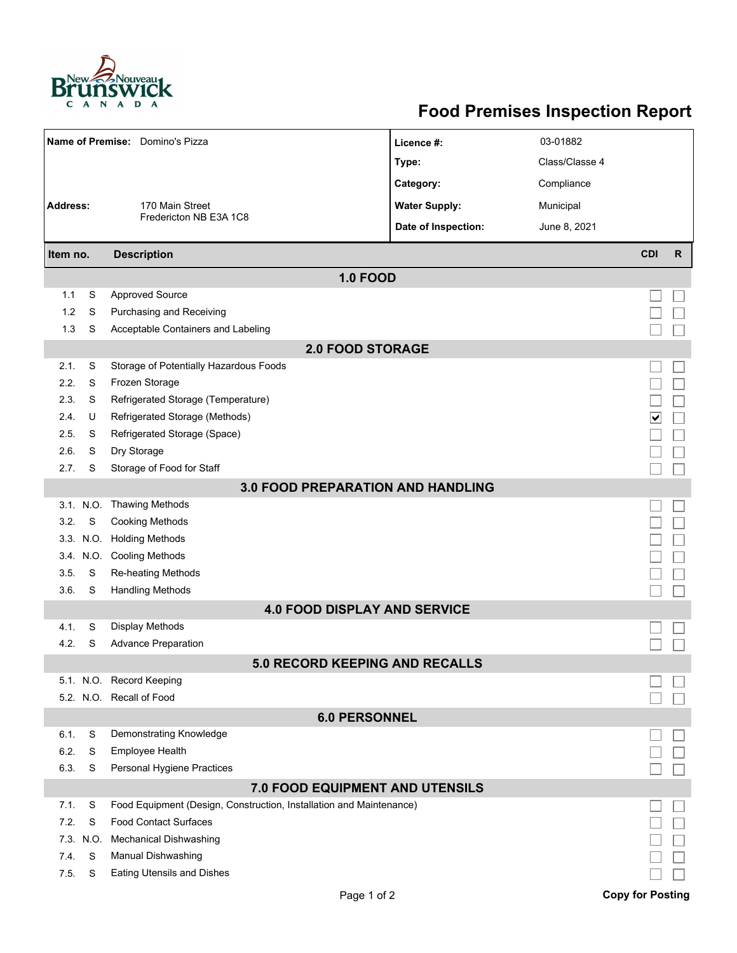

## **Food Premises Inspection Report**

|                                        |           | Name of Premise: Domino's Pizza                                     | Licence #:           | 03-01882       |                         |    |  |  |  |  |
|----------------------------------------|-----------|---------------------------------------------------------------------|----------------------|----------------|-------------------------|----|--|--|--|--|
|                                        |           |                                                                     | Type:                | Class/Classe 4 |                         |    |  |  |  |  |
|                                        |           |                                                                     | Category:            | Compliance     |                         |    |  |  |  |  |
| <b>Address:</b>                        |           | 170 Main Street                                                     | <b>Water Supply:</b> | Municipal      |                         |    |  |  |  |  |
|                                        |           | Fredericton NB E3A 1C8                                              | Date of Inspection:  | June 8, 2021   |                         |    |  |  |  |  |
| Item no.                               |           | <b>Description</b>                                                  |                      |                | <b>CDI</b>              | R. |  |  |  |  |
| <b>1.0 FOOD</b>                        |           |                                                                     |                      |                |                         |    |  |  |  |  |
| 1.1                                    | S         | <b>Approved Source</b>                                              |                      |                |                         |    |  |  |  |  |
| 1.2                                    | S         | Purchasing and Receiving                                            |                      |                |                         |    |  |  |  |  |
| 1.3                                    | S         | Acceptable Containers and Labeling                                  |                      |                |                         |    |  |  |  |  |
| <b>2.0 FOOD STORAGE</b>                |           |                                                                     |                      |                |                         |    |  |  |  |  |
| 2.1.                                   | S         | Storage of Potentially Hazardous Foods                              |                      |                |                         |    |  |  |  |  |
| 2.2.                                   | S         | Frozen Storage                                                      |                      |                |                         |    |  |  |  |  |
| 2.3.                                   | S         | Refrigerated Storage (Temperature)                                  |                      |                |                         |    |  |  |  |  |
| 2.4.                                   | U         | Refrigerated Storage (Methods)                                      |                      |                | ∨                       |    |  |  |  |  |
| 2.5.                                   | S         | Refrigerated Storage (Space)                                        |                      |                |                         |    |  |  |  |  |
| 2.6.                                   | S         | Dry Storage                                                         |                      |                |                         |    |  |  |  |  |
| 2.7.                                   | S         | Storage of Food for Staff                                           |                      |                |                         |    |  |  |  |  |
|                                        |           | <b>3.0 FOOD PREPARATION AND HANDLING</b>                            |                      |                |                         |    |  |  |  |  |
|                                        | 3.1. N.O. | <b>Thawing Methods</b>                                              |                      |                |                         |    |  |  |  |  |
| 3.2.                                   | S         | <b>Cooking Methods</b>                                              |                      |                |                         |    |  |  |  |  |
|                                        |           | 3.3. N.O. Holding Methods                                           |                      |                |                         |    |  |  |  |  |
|                                        |           | 3.4. N.O. Cooling Methods                                           |                      |                |                         |    |  |  |  |  |
| 3.5.                                   | S         | Re-heating Methods                                                  |                      |                |                         |    |  |  |  |  |
| 3.6.                                   | S         | <b>Handling Methods</b>                                             |                      |                |                         |    |  |  |  |  |
|                                        |           | <b>4.0 FOOD DISPLAY AND SERVICE</b>                                 |                      |                |                         |    |  |  |  |  |
| 4.1.                                   | S         | Display Methods                                                     |                      |                |                         |    |  |  |  |  |
| 4.2.                                   | S         | <b>Advance Preparation</b>                                          |                      |                |                         |    |  |  |  |  |
|                                        |           | <b>5.0 RECORD KEEPING AND RECALLS</b>                               |                      |                |                         |    |  |  |  |  |
|                                        |           | 5.1. N.O. Record Keeping                                            |                      |                |                         |    |  |  |  |  |
|                                        |           | 5.2. N.O. Recall of Food                                            |                      |                |                         |    |  |  |  |  |
| <b>6.0 PERSONNEL</b>                   |           |                                                                     |                      |                |                         |    |  |  |  |  |
| 6.1.                                   | S         | Demonstrating Knowledge                                             |                      |                |                         |    |  |  |  |  |
| 6.2.                                   | S         | Employee Health                                                     |                      |                |                         |    |  |  |  |  |
| 6.3.                                   | S         | Personal Hygiene Practices                                          |                      |                |                         |    |  |  |  |  |
| <b>7.0 FOOD EQUIPMENT AND UTENSILS</b> |           |                                                                     |                      |                |                         |    |  |  |  |  |
| 7.1.                                   | S         | Food Equipment (Design, Construction, Installation and Maintenance) |                      |                |                         |    |  |  |  |  |
| 7.2.                                   | S         | <b>Food Contact Surfaces</b>                                        |                      |                |                         |    |  |  |  |  |
| 7.3.                                   | N.O.      | <b>Mechanical Dishwashing</b>                                       |                      |                |                         |    |  |  |  |  |
| 7.4.                                   | S         | Manual Dishwashing                                                  |                      |                |                         |    |  |  |  |  |
| 7.5.                                   | S         | <b>Eating Utensils and Dishes</b>                                   |                      |                |                         |    |  |  |  |  |
|                                        |           | Page 1 of 2                                                         |                      |                | <b>Copy for Posting</b> |    |  |  |  |  |